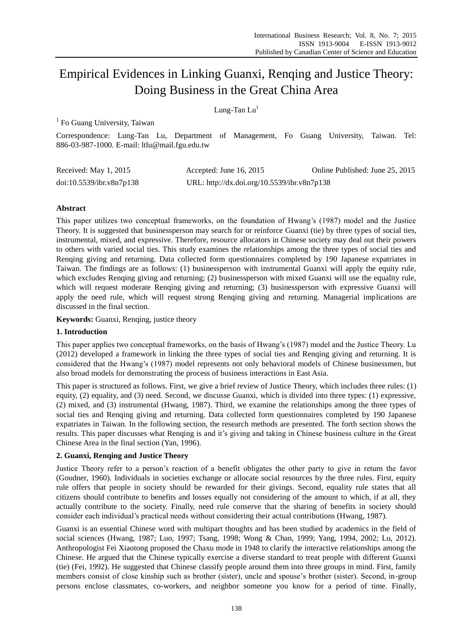# Empirical Evidences in Linking Guanxi, Renqing and Justice Theory: Doing Business in the Great China Area

# Lung-Tan  $Lu<sup>1</sup>$

<sup>1</sup> Fo Guang University, Taiwan

Correspondence: Lung-Tan Lu, Department of Management, Fo Guang University, Taiwan. Tel: 886-03-987-1000. E-mail: ltlu@mail.fgu.edu.tw

| Received: May 1, 2015    | Accepted: June 16, $2015$                   | Online Published: June 25, 2015 |
|--------------------------|---------------------------------------------|---------------------------------|
| doi:10.5539/ibr.v8n7p138 | URL: http://dx.doi.org/10.5539/ibr.v8n7p138 |                                 |

## **Abstract**

This paper utilizes two conceptual frameworks, on the foundation of Hwang's (1987) model and the Justice Theory. It is suggested that businessperson may search for or reinforce Guanxi (tie) by three types of social ties, instrumental, mixed, and expressive. Therefore, resource allocators in Chinese society may deal out their powers to others with varied social ties. This study examines the relationships among the three types of social ties and Renqing giving and returning. Data collected form questionnaires completed by 190 Japanese expatriates in Taiwan. The findings are as follows: (1) businessperson with instrumental Guanxi will apply the equity rule, which excludes Renqing giving and returning; (2) businessperson with mixed Guanxi will use the equality rule, which will request moderate Renqing giving and returning; (3) businessperson with expressive Guanxi will apply the need rule, which will request strong Renqing giving and returning. Managerial implications are discussed in the final section.

**Keywords:** Guanxi, Renqing, justice theory

## **1. Introduction**

This paper applies two conceptual frameworks, on the basis of Hwang's (1987) model and the Justice Theory. Lu (2012) developed a framework in linking the three types of social ties and Renqing giving and returning. It is considered that the Hwang's (1987) model represents not only behavioral models of Chinese businessmen, but also broad models for demonstrating the process of business interactions in East Asia.

This paper is structured as follows. First, we give a brief review of Justice Theory, which includes three rules: (1) equity, (2) equality, and (3) need. Second, we discusse Guanxi, which is divided into three types: (1) expressive, (2) mixed, and (3) instrumental (Hwang, 1987). Third, we examine the relationships among the three types of social ties and Renqing giving and returning. Data collected form questionnaires completed by 190 Japanese expatriates in Taiwan. In the following section, the research methods are presented. The forth section shows the results. This paper discusses what Renqing is and it's giving and taking in Chinese business culture in the Great Chinese Area in the final section (Yan, 1996).

## **2. Guanxi, Renqing and Justice Theory**

Justice Theory refer to a person's reaction of a benefit obligates the other party to give in return the favor (Goudner, 1960). Individuals in societies exchange or allocate social resources by the three rules. First, equity rule offers that people in society should be rewarded for their givings. Second, equality rule states that all citizens should contribute to benefits and losses equally not considering of the amount to which, if at all, they actually contribute to the society. Finally, need rule conserve that the sharing of benefits in society should consider each individual's practical needs without considering their actual contributions (Hwang, 1987).

Guanxi is an essential Chinese word with multipart thoughts and has been studied by academics in the field of social sciences (Hwang, 1987; Luo, 1997; Tsang, 1998; Wong & Chan, 1999; Yang, 1994, 2002; Lu, 2012). Anthropologist Fei Xiaotong proposed the Chaxu mode in 1948 to clarify the interactive relationships among the Chinese. He argued that the Chinese typically exercise a diverse standard to treat people with different Guanxi (tie) (Fei, 1992). He suggested that Chinese classify people around them into three groups in mind. First, family members consist of close kinship such as brother (sister), uncle and spouse's brother (sister). Second, in-group persons enclose classmates, co-workers, and neighbor someone you know for a period of time. Finally,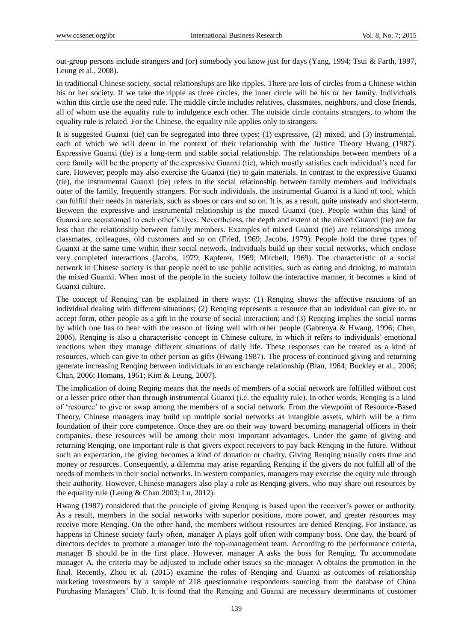out-group persons include strangers and (or) somebody you know just for days (Yang, 1994; Tsui & Farth, 1997, Leung et al., 2008).

In traditional Chinese society, social relationships are like ripples. There are lots of circles from a Chinese within his or her society. If we take the ripple as three circles, the inner circle will be his or her family. Individuals within this circle use the need rule. The middle circle includes relatives, classmates, neighbors, and close friends, all of whom use the equality rule to indulgence each other. The outside circle contains strangers, to whom the equality rule is related. For the Chinese, the equality rule applies only to strangers.

It is suggested Guanxi (tie) can be segregated into three types: (1) expressive, (2) mixed, and (3) instrumental, each of which we will deem in the context of their relationship with the Justice Theory Hwang (1987). Expressive Guanxi (tie) is a long-term and stable social relationship. The relationships between members of a core family will be the property of the expressive Guanxi (tie), which mostly satisfies each individual's need for care. However, people may also exercise the Guanxi (tie) to gain materials. In contrast to the expressive Guanxi (tie), the instrumental Guanxi (tie) refers to the social relationship between family members and individuals outer of the family, frequently strangers. For such individuals, the instrumental Guanxi is a kind of tool, which can fulfill their needs in materials, such as shoes or cars and so on. It is, as a result, quite unsteady and short-term. Between the expressive and instrumental relationship is the mixed Guanxi (tie). People within this kind of Guanxi are accustomed to each other's lives. Nevertheless, the depth and extent of the mixed Guanxi (tie) are far less than the relationship between family members. Examples of mixed Guanxi (tie) are relationships among classmates, colleagues, old customers and so on (Fried, 1969; Jacobs, 1979). People hold the three types of Guanxi at the same time within their social network. Individuals build up their social networks, which enclose very completed interactions (Jacobs, 1979; Kapferer, 1969; Mitchell, 1969). The characteristic of a social network in Chinese society is that people need to use public activities, such as eating and drinking, to maintain the mixed Guanxi. When most of the people in the society follow the interactive manner, it becomes a kind of Guanxi culture.

The concept of Renqing can be explained in there ways: (1) Renqing shows the affective reactions of an individual dealing with different situations; (2) Renqing represents a resource that an individual can give to, or accept form, other people as a gift in the course of social interaction; and (3) Renqing implies the social norms by which one has to bear with the reason of living well with other people (Gabrenya & Hwang, 1996; Chen, 2006). Renqing is also a characteristic concept in Chinese culture, in which it refers to individuals' emotional reactions when they manage different situations of daily life. These responses can be treated as a kind of resources, which can give to other person as gifts (Hwang 1987). The process of continued giving and returning generate increasing Renqing between individuals in an exchange relationship (Blau, 1964; Buckley et al., 2006; Chan, 2006; Homans, 1961; Kim & Leung, 2007).

The implication of doing Reqing means that the needs of members of a social network are fulfilled without cost or a lesser price other than through instrumental Guanxi (i.e. the equality rule). In other words, Renqing is a kind of 'resource' to give or swap among the members of a social network. From the viewpoint of Resource-Based Theory, Chinese managers may build up multiple social networks as intangible assets, which will be a firm foundation of their core competence. Once they are on their way toward becoming managerial officers in their companies, these resources will be among their most important advantages. Under the game of giving and returning Renqing, one important rule is that givers expect receivers to pay back Renqing in the future. Without such an expectation, the giving becomes a kind of donation or charity. Giving Renqing usually costs time and money or resources. Consequently, a dilemma may arise regarding Renqing if the givers do not fulfill all of the needs of members in their social networks. In western companies, managers may exercise the equity rule through their authority. However, Chinese managers also play a role as Renqing givers, who may share out resources by the equality rule (Leung & Chan 2003; Lu, 2012).

Hwang (1987) considered that the principle of giving Renqing is based upon the receiver's power or authority. As a result, members in the social networks with superior positions, more power, and greater resources may receive more Renqing. On the other hand, the members without resources are denied Renqing. For instance, as happens in Chinese society fairly often, manager A plays golf often with company boss. One day, the board of directors decides to promote a manager into the top-management team. According to the performance criteria, manager B should be in the first place. However, manager A asks the boss for Renqing. To accommodate manager A, the criteria may be adjusted to include other issues so the manager A obtains the promotion in the final. Recently, Zhou et al. (2015) examine the roles of Renqing and Guanxi as outcomes of relationship marketing investments by a sample of 218 questionnaire respondents sourcing from the database of China Purchasing Managers' Club. It is found that the Renqing and Guanxi are necessary determinants of customer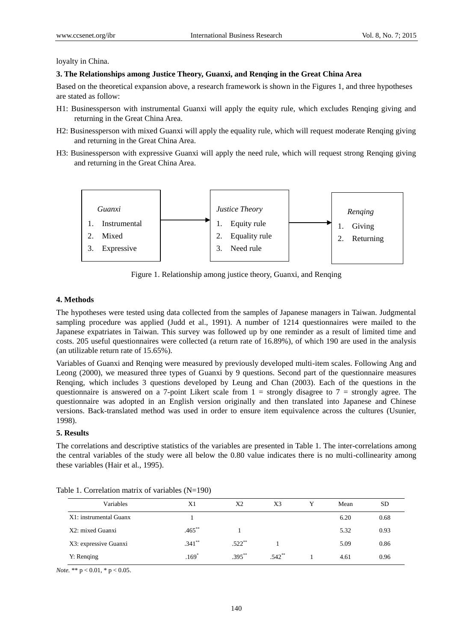#### loyalty in China.

#### **3. The Relationships among Justice Theory, Guanxi, and Renqing in the Great China Area**

Based on the theoretical expansion above, a research framework is shown in the Figures 1, and three hypotheses are stated as follow:

- H1: Businessperson with instrumental Guanxi will apply the equity rule, which excludes Renqing giving and returning in the Great China Area.
- H2: Businessperson with mixed Guanxi will apply the equality rule, which will request moderate Renqing giving and returning in the Great China Area.
- H3: Businessperson with expressive Guanxi will apply the need rule, which will request strong Renqing giving and returning in the Great China Area.



Figure 1. Relationship among justice theory, Guanxi, and Renqing

## **4. Methods**

The hypotheses were tested using data collected from the samples of Japanese managers in Taiwan. Judgmental sampling procedure was applied (Judd et al., 1991). A number of 1214 questionnaires were mailed to the Japanese expatriates in Taiwan. This survey was followed up by one reminder as a result of limited time and costs. 205 useful questionnaires were collected (a return rate of 16.89%), of which 190 are used in the analysis (an utilizable return rate of 15.65%).

Variables of Guanxi and Renqing were measured by previously developed multi-item scales. Following Ang and Leong (2000), we measured three types of Guanxi by 9 questions. Second part of the questionnaire measures Renqing, which includes 3 questions developed by Leung and Chan (2003). Each of the questions in the questionnaire is answered on a 7-point Likert scale from  $1 =$  strongly disagree to  $7 =$  strongly agree. The questionnaire was adopted in an English version originally and then translated into Japanese and Chinese versions. Back-translated method was used in order to ensure item equivalence across the cultures (Usunier, 1998).

#### **5. Results**

The correlations and descriptive statistics of the variables are presented in Table 1. The inter-correlations among the central variables of the study were all below the 0.80 value indicates there is no multi-collinearity among these variables (Hair et al., 1995).

| Variables              | X1        | X <sub>2</sub> | X3       | Mean | <b>SD</b> |
|------------------------|-----------|----------------|----------|------|-----------|
| X1: instrumental Guanx |           |                |          | 6.20 | 0.68      |
| X2: mixed Guanxi       | $.465***$ |                |          | 5.32 | 0.93      |
| X3: expressive Guanxi  | $.341***$ | $.522**$       |          | 5.09 | 0.86      |
| Y: Renging             | $.169*$   | $.395***$      | $.542**$ | 4.61 | 0.96      |

Table 1. Correlation matrix of variables (N=190)

*Note.* \*\* p < 0.01, \* p < 0.05.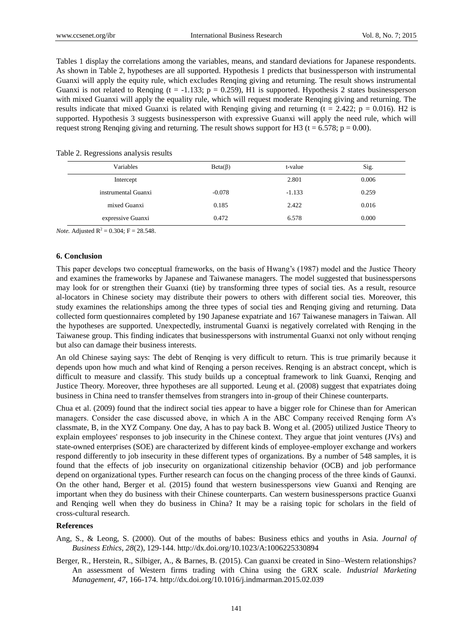Tables 1 display the correlations among the variables, means, and standard deviations for Japanese respondents. As shown in Table 2, hypotheses are all supported. Hypothesis 1 predicts that businessperson with instrumental Guanxi will apply the equity rule, which excludes Renqing giving and returning. The result shows instrumental Guanxi is not related to Renqing ( $t = -1.133$ ;  $p = 0.259$ ), H1 is supported. Hypothesis 2 states businessperson with mixed Guanxi will apply the equality rule, which will request moderate Renqing giving and returning. The results indicate that mixed Guanxi is related with Renqing giving and returning ( $t = 2.422$ ;  $p = 0.016$ ). H2 is supported. Hypothesis 3 suggests businessperson with expressive Guanxi will apply the need rule, which will request strong Renging giving and returning. The result shows support for H3 (t = 6.578;  $p = 0.00$ ).

| Variables           | $Beta(\beta)$ | t-value  | Sig.  |
|---------------------|---------------|----------|-------|
| Intercept           |               | 2.801    | 0.006 |
| instrumental Guanxi | $-0.078$      | $-1.133$ | 0.259 |
| mixed Guanxi        | 0.185         | 2.422    | 0.016 |
| expressive Guanxi   | 0.472         | 6.578    | 0.000 |

Table 2. Regressions analysis results

*Note.* Adjusted  $R^2 = 0.304$ ;  $F = 28.548$ .

#### **6. Conclusion**

This paper develops two conceptual frameworks, on the basis of Hwang's (1987) model and the Justice Theory and examines the frameworks by Japanese and Taiwanese managers. The model suggested that businesspersons may look for or strengthen their Guanxi (tie) by transforming three types of social ties. As a result, resource al-locators in Chinese society may distribute their powers to others with different social ties. Moreover, this study examines the relationships among the three types of social ties and Renqing giving and returning. Data collected form questionnaires completed by 190 Japanese expatriate and 167 Taiwanese managers in Taiwan. All the hypotheses are supported. Unexpectedly, instrumental Guanxi is negatively correlated with Renqing in the Taiwanese group. This finding indicates that businesspersons with instrumental Guanxi not only without renqing but also can damage their business interests.

An old Chinese saying says: The debt of Renqing is very difficult to return. This is true primarily because it depends upon how much and what kind of Renqing a person receives. Renqing is an abstract concept, which is difficult to measure and classify. This study builds up a conceptual framework to link Guanxi, Renqing and Justice Theory. Moreover, three hypotheses are all supported. Leung et al. (2008) suggest that expatriates doing business in China need to transfer themselves from strangers into in-group of their Chinese counterparts.

Chua et al. (2009) found that the indirect social ties appear to have a bigger role for Chinese than for American managers. Consider the case discussed above, in which A in the ABC Company received Renqing form A's classmate, B, in the XYZ Company. One day, A has to pay back B. Wong et al. (2005) utilized Justice Theory to explain employees' responses to job insecurity in the Chinese context. They argue that joint ventures (JVs) and state-owned enterprises (SOE) are characterized by different kinds of employee-employer exchange and workers respond differently to job insecurity in these different types of organizations. By a number of 548 samples, it is found that the effects of job insecurity on organizational citizenship behavior (OCB) and job performance depend on organizational types. Further research can focus on the changing process of the three kinds of Gaunxi. On the other hand, Berger et al. (2015) found that western businesspersons view Guanxi and Renqing are important when they do business with their Chinese counterparts. Can western businesspersons practice Guanxi and Renqing well when they do business in China? It may be a raising topic for scholars in the field of cross-cultural research.

## **References**

- Ang, S., & Leong, S. (2000). Out of the mouths of babes: Business ethics and youths in Asia. *Journal of Business Ethics, 28*(2), 129-144. http://dx.doi.org/10.1023/A:1006225330894
- Berger, R., Herstein, R., Silbiger, A., & Barnes, B. (2015). Can guanxi be created in Sino–Western relationships? An assessment of Western firms trading with China using the GRX scale. *Industrial Marketing Management, 47*, 166-174. http://dx.doi.org/10.1016/j.indmarman.2015.02.039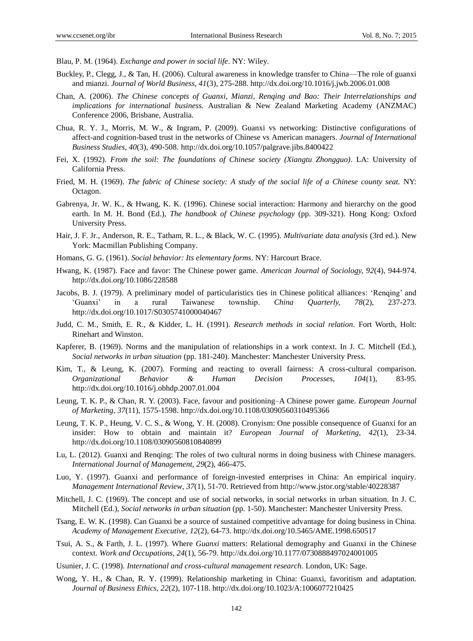Blau, P. M. (1964). *Exchange and power in social life*. NY: Wiley.

- Buckley, P., Clegg, J., & Tan, H. (2006). Cultural awareness in knowledge transfer to China—The role of guanxi and mianzi. *Journal of World Business, 41*(3), 275-288. http://dx.doi.org/10.1016/j.jwb.2006.01.008
- Chan, A. (2006). *The Chinese concepts of Guanxi, Mianzi, Renqing and Bao: Their Interrelationships and implications for international business.* Australian & New Zealand Marketing Academy (ANZMAC) Conference 2006, Brisbane, Australia.
- Chua, R. Y. J., Morris, M. W., & Ingram, P. (2009). Guanxi vs networking: Distinctive configurations of affect-and cognition-based trust in the networks of Chinese vs American managers. *Journal of International Business Studies, 40*(3), 490-508. http://dx.doi.org/10.1057/palgrave.jibs.8400422
- Fei, X. (1992). *From the soil: The foundations of Chinese society (Xiangtu Zhongguo)*. LA: University of California Press.
- Fried, M. H. (1969). *The fabric of Chinese society: A study of the social life of a Chinese county seat.* NY: Octagon.
- Gabrenya, Jr. W. K., & Hwang, K. K. (1996). Chinese social interaction: Harmony and hierarchy on the good earth. In M. H. Bond (Ed.), *The handbook of Chinese psychology* (pp. 309-321). Hong Kong: Oxford University Press.
- Hair, J. F. Jr., Anderson, R. E., Tatham, R. L., & Black, W. C. (1995). *Multivariate data analysis* (3rd ed.). New York: Macmillan Publishing Company.
- Homans, G. G. (1961). *Social behavior: Its elementary forms*. NY: Harcourt Brace.
- Hwang, K. (1987). Face and favor: The Chinese power game. *American Journal of Sociology, 92*(4), 944-974. http://dx.doi.org/10.1086/228588
- Jacobs, B. J. (1979). A preliminary model of particularistics ties in Chinese political alliances: 'Renqing' and 'Guanxi' in a rural Taiwanese township. *China Quarterly, 78*(2), 237-273. http://dx.doi.org/10.1017/S0305741000040467
- Judd, C. M., Smith, E. R., & Kidder, L. H. (1991). *Research methods in social relation.* Fort Worth, Holt: Rinehart and Winston.
- Kapferer, B. (1969). Norms and the manipulation of relationships in a work context. In J. C. Mitchell (Ed.), *Social networks in urban situation* (pp. 181-240). Manchester: Manchester University Press.
- Kim, T., & Leung, K. (2007). Forming and reacting to overall fairness: A cross-cultural comparison. *Organizational Behavior & Human Decision Processes, 104*(1), 83-95. http://dx.doi.org/10.1016/j.obhdp.2007.01.004
- Leung, T. K. P., & Chan, R. Y. (2003). Face, favour and positioning–A Chinese power game. *European Journal of Marketing, 37*(11), 1575-1598. http://dx.doi.org/10.1108/03090560310495366
- Leung, T. K. P., Heung, V. C. S., & Wong, Y. H. (2008). Cronyism: One possible consequence of Guanxi for an insider: How to obtain and maintain it? *European Journal of Marketing, 42*(1), 23-34. http://dx.doi.org/10.1108/03090560810840899
- Lu, L. (2012). Guanxi and Renqing: The roles of two cultural norms in doing business with Chinese managers. *International Journal of Management, 29*(2), 466-475.
- Luo, Y. (1997). Guanxi and performance of foreign-invested enterprises in China: An empirical inquiry. *Management International Review, 37*(1), 51-70. Retrieved from http://www.jstor.org/stable/40228387
- Mitchell, J. C. (1969). The concept and use of social networks, in social networks in urban situation. In J. C. Mitchell (Ed.), *Social networks in urban situation* (pp. 1-50). Manchester: Manchester University Press.
- Tsang, E. W. K. (1998). Can Guanxi be a source of sustained competitive advantage for doing business in China. *Academy of Management Executive, 12*(2), 64-73. http://dx.doi.org/10.5465/AME.1998.650517
- Tsui, A. S., & Farth, J. L. (1997). Where *Guanxi* matters: Relational demography and Guanxi in the Chinese context. *Work and Occupations, 24*(1), 56-79. http://dx.doi.org/10.1177/0730888497024001005
- Usunier, J. C. (1998). *International and cross-cultural management research.* London, UK: Sage.
- Wong, Y. H., & Chan, R. Y. (1999). Relationship marketing in China: Guanxi, favoritism and adaptation. *Journal of Business Ethics, 22*(2), 107-118. http://dx.doi.org/10.1023/A:1006077210425